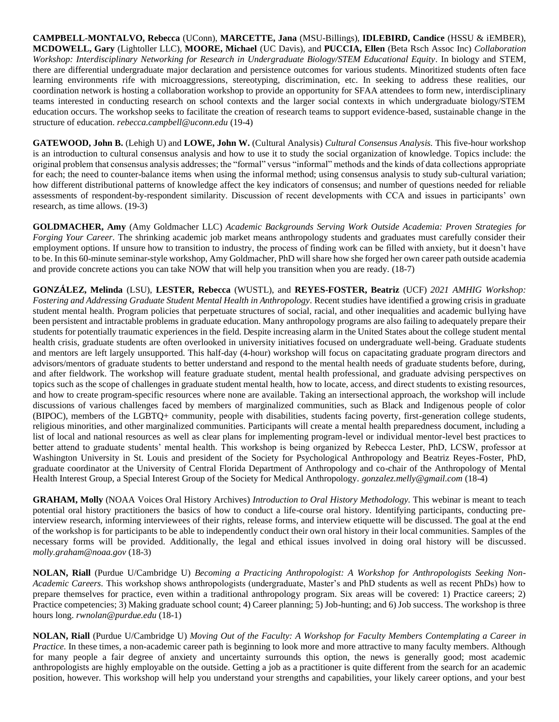**CAMPBELL-MONTALVO, Rebecca** (UConn), **MARCETTE, Jana** (MSU-Billings), **IDLEBIRD, Candice** (HSSU & iEMBER), **MCDOWELL, Gary** (Lightoller LLC), **MOORE, Michael** (UC Davis), and **PUCCIA, Ellen** (Beta Rsch Assoc Inc) *Collaboration Workshop: Interdisciplinary Networking for Research in Undergraduate Biology/STEM Educational Equity.* In biology and STEM, there are differential undergraduate major declaration and persistence outcomes for various students. Minoritized students often face learning environments rife with microaggressions, stereotyping, discrimination, etc. In seeking to address these realities, our coordination network is hosting a collaboration workshop to provide an opportunity for SFAA attendees to form new, interdisciplinary teams interested in conducting research on school contexts and the larger social contexts in which undergraduate biology/STEM education occurs. The workshop seeks to facilitate the creation of research teams to support evidence-based, sustainable change in the structure of education. *rebecca.campbell@uconn.edu* (19-4)

**GATEWOOD, John B.** (Lehigh U) and **LOWE, John W.** (Cultural Analysis) *Cultural Consensus Analysis.* This five-hour workshop is an introduction to cultural consensus analysis and how to use it to study the social organization of knowledge. Topics include: the original problem that consensus analysis addresses; the "formal" versus "informal" methods and the kinds of data collections appropriate for each; the need to counter-balance items when using the informal method; using consensus analysis to study sub-cultural variation; how different distributional patterns of knowledge affect the key indicators of consensus; and number of questions needed for reliable assessments of respondent-by-respondent similarity. Discussion of recent developments with CCA and issues in participants' own research, as time allows. (19-3)

**GOLDMACHER, Amy** (Amy Goldmacher LLC) *Academic Backgrounds Serving Work Outside Academia: Proven Strategies for Forging Your Career.* The shrinking academic job market means anthropology students and graduates must carefully consider their employment options. If unsure how to transition to industry, the process of finding work can be filled with anxiety, but it doesn't have to be. In this 60-minute seminar-style workshop, Amy Goldmacher, PhD will share how she forged her own career path outside academia and provide concrete actions you can take NOW that will help you transition when you are ready. (18-7)

**GONZÁLEZ, Melinda** (LSU), **LESTER, Rebecca** (WUSTL), and **REYES-FOSTER, Beatriz** (UCF) *2021 AMHIG Workshop: Fostering and Addressing Graduate Student Mental Health in Anthropology.* Recent studies have identified a growing crisis in graduate student mental health. Program policies that perpetuate structures of social, racial, and other inequalities and academic bullying have been persistent and intractable problems in graduate education. Many anthropology programs are also failing to adequately prepare their students for potentially traumatic experiences in the field. Despite increasing alarm in the United States about the college student mental health crisis, graduate students are often overlooked in university initiatives focused on undergraduate well-being. Graduate students and mentors are left largely unsupported. This half-day (4-hour) workshop will focus on capacitating graduate program directors and advisors/mentors of graduate students to better understand and respond to the mental health needs of graduate students before, during, and after fieldwork. The workshop will feature graduate student, mental health professional, and graduate advising perspectives on topics such as the scope of challenges in graduate student mental health, how to locate, access, and direct students to existing resources, and how to create program-specific resources where none are available. Taking an intersectional approach, the workshop will include discussions of various challenges faced by members of marginalized communities, such as Black and Indigenous people of color (BIPOC), members of the LGBTQ+ community, people with disabilities, students facing poverty, first-generation college students, religious minorities, and other marginalized communities. Participants will create a mental health preparedness document, including a list of local and national resources as well as clear plans for implementing program-level or individual mentor-level best practices to better attend to graduate students' mental health. This workshop is being organized by Rebecca Lester, PhD, LCSW, professor at Washington University in St. Louis and president of the Society for Psychological Anthropology and Beatriz Reyes-Foster, PhD, graduate coordinator at the University of Central Florida Department of Anthropology and co-chair of the Anthropology of Mental Health Interest Group, a Special Interest Group of the Society for Medical Anthropology. *gonzalez.melly@gmail.com* (18-4)

**GRAHAM, Molly** (NOAA Voices Oral History Archives) *Introduction to Oral History Methodology.* This webinar is meant to teach potential oral history practitioners the basics of how to conduct a life-course oral history. Identifying participants, conducting preinterview research, informing interviewees of their rights, release forms, and interview etiquette will be discussed. The goal at the end of the workshop is for participants to be able to independently conduct their own oral history in their local communities. Samples of the necessary forms will be provided. Additionally, the legal and ethical issues involved in doing oral history will be discussed. *molly.graham@noaa.gov* (18-3)

**NOLAN, Riall** (Purdue U/Cambridge U) *Becoming a Practicing Anthropologist: A Workshop for Anthropologists Seeking Non-Academic Careers.* This workshop shows anthropologists (undergraduate, Master's and PhD students as well as recent PhDs) how to prepare themselves for practice, even within a traditional anthropology program. Six areas will be covered: 1) Practice careers; 2) Practice competencies; 3) Making graduate school count; 4) Career planning; 5) Job-hunting; and 6) Job success. The workshop is three hours long. *rwnolan@purdue.edu* (18-1)

**NOLAN, Riall** (Purdue U/Cambridge U) *Moving Out of the Faculty: A Workshop for Faculty Members Contemplating a Career in Practice*. In these times, a non-academic career path is beginning to look more and more attractive to many faculty members. Although for many people a fair degree of anxiety and uncertainty surrounds this option, the news is generally good; most academic anthropologists are highly employable on the outside. Getting a job as a practitioner is quite different from the search for an academic position, however. This workshop will help you understand your strengths and capabilities, your likely career options, and your best